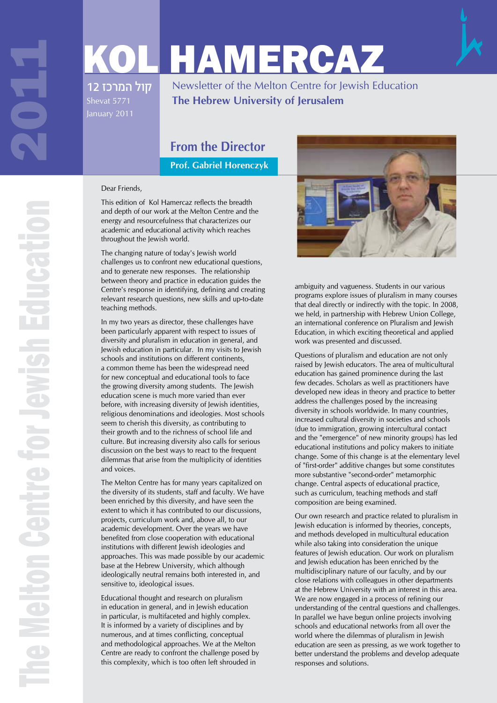# KOL HAMERCAZ

קול המרכז 12

Newsletter of the Melton Centre for Jewish Education **The Hebrew University of Jerusalem**

# **From the Director**

**Prof. Gabriel Horenczyk**

#### Dear Friends,

This edition of Kol Hamercaz reflects the breadth and depth of our work at the Melton Centre and the energy and resourcefulness that characterizes our academic and educational activity which reaches throughout the Jewish world.

The changing nature of today's Jewish world challenges us to confront new educational questions, and to generate new responses. The relationship between theory and practice in education guides the Centre's response in identifying, defining and creating relevant research questions, new skills and up-to-date teaching methods.

In my two years as director, these challenges have been particularly apparent with respect to issues of diversity and pluralism in education in general, and Jewish education in particular. In my visits to Jewish schools and institutions on different continents, a common theme has been the widespread need for new conceptual and educational tools to face the growing diversity among students. The Jewish education scene is much more varied than ever before, with increasing diversity of Jewish identities, religious denominations and ideologies. Most schools seem to cherish this diversity, as contributing to their growth and to the richness of school life and culture. But increasing diversity also calls for serious discussion on the best ways to react to the frequent dilemmas that arise from the multiplicity of identities and voices.

The Melton Centre has for many years capitalized on the diversity of its students, staff and faculty. We have been enriched by this diversity, and have seen the extent to which it has contributed to our discussions, projects, curriculum work and, above all, to our academic development. Over the years we have benefited from close cooperation with educational institutions with different Jewish ideologies and approaches. This was made possible by our academic base at the Hebrew University, which although ideologically neutral remains both interested in, and sensitive to, ideological issues.

Educational thought and research on pluralism in education in general, and in Jewish education in particular, is multifaceted and highly complex. It is informed by a variety of disciplines and by numerous, and at times conflicting, conceptual and methodological approaches. We at the Melton Centre are ready to confront the challenge posed by this complexity, which is too often left shrouded in



ambiguity and vagueness. Students in our various programs explore issues of pluralism in many courses that deal directly or indirectly with the topic. In 2008, we held, in partnership with Hebrew Union College, an international conference on Pluralism and Jewish Education, in which exciting theoretical and applied work was presented and discussed.

Questions of pluralism and education are not only raised by Jewish educators. The area of multicultural education has gained prominence during the last few decades. Scholars as well as practitioners have developed new ideas in theory and practice to better address the challenges posed by the increasing diversity in schools worldwide. In many countries, increased cultural diversity in societies and schools (due to immigration, growing intercultural contact and the "emergence" of new minority groups) has led educational institutions and policy makers to initiate change. Some of this change is at the elementary level of "first-order" additive changes but some constitutes more substantive "second-order" metamorphic change. Central aspects of educational practice, such as curriculum, teaching methods and staff composition are being examined.

Our own research and practice related to pluralism in Jewish education is informed by theories, concepts, and methods developed in multicultural education while also taking into consideration the unique features of Jewish education. Our work on pluralism and Jewish education has been enriched by the multidisciplinary nature of our faculty, and by our close relations with colleagues in other departments at the Hebrew University with an interest in this area. We are now engaged in a process of refining our understanding of the central questions and challenges. In parallel we have begun online projects involving schools and educational networks from all over the world where the dilemmas of pluralism in Jewish education are seen as pressing, as we work together to better understand the problems and develop adequate responses and solutions.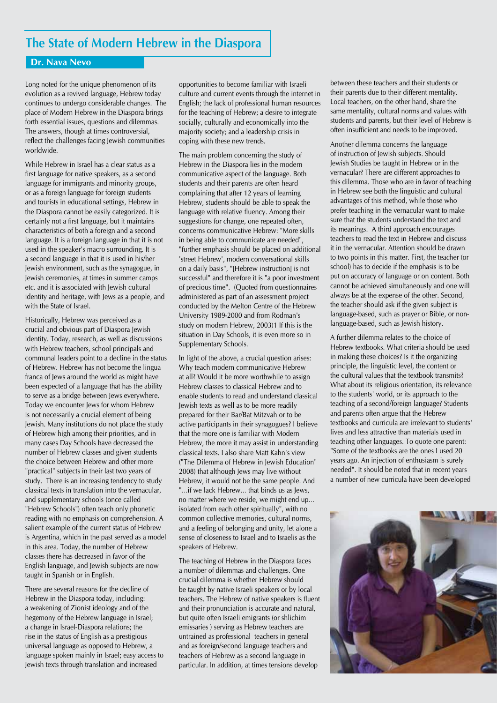### **The State of Modern Hebrew in the Diaspora**

#### **Dr. Nava Nevo**

Long noted for the unique phenomenon of its evolution as a revived language, Hebrew today continues to undergo considerable changes. The place of Modern Hebrew in the Diaspora brings forth essential issues, questions and dilemmas. The answers, though at times controversial, reflect the challenges facing Jewish communities worldwide.

While Hebrew in Israel has a clear status as a first language for native speakers, as a second language for immigrants and minority groups, or as a foreign language for foreign students and tourists in educational settings, Hebrew in the Diaspora cannot be easily categorized. It is certainly not a first language, but it maintains characteristics of both a foreign and a second language. It is a foreign language in that it is not used in the speaker's macro surrounding. It is a second language in that it is used in his/her Jewish environment, such as the synagogue, in Jewish ceremonies, at times in summer camps etc. and it is associated with Jewish cultural identity and heritage, with Jews as a people, and with the State of Israel.

Historically, Hebrew was perceived as a crucial and obvious part of Diaspora Jewish identity. Today, research, as well as discussions with Hebrew teachers, school principals and communal leaders point to a decline in the status of Hebrew. Hebrew has not become the lingua franca of Jews around the world as might have been expected of a language that has the ability to serve as a bridge between Jews everywhere. Today we encounter Jews for whom Hebrew is not necessarily a crucial element of being Jewish. Many institutions do not place the study of Hebrew high among their priorities, and in many cases Day Schools have decreased the number of Hebrew classes and given students the choice between Hebrew and other more "practical" subjects in their last two years of study. There is an increasing tendency to study classical texts in translation into the vernacular, and supplementary schools (once called "Hebrew Schools") often teach only phonetic reading with no emphasis on comprehension. A salient example of the current status of Hebrew is Argentina, which in the past served as a model in this area. Today, the number of Hebrew classes there has decreased in favor of the English language, and Jewish subjects are now taught in Spanish or in English.

There are several reasons for the decline of Hebrew in the Diaspora today, including: a weakening of Zionist ideology and of the hegemony of the Hebrew language in Israel; a change in Israel-Diaspora relations; the rise in the status of English as a prestigious universal language as opposed to Hebrew, a language spoken mainly in Israel; easy access to Jewish texts through translation and increased

opportunities to become familiar with Israeli culture and current events through the internet in English; the lack of professional human resources for the teaching of Hebrew; a desire to integrate socially, culturally and economically into the majority society; and a leadership crisis in coping with these new trends.

The main problem concerning the study of Hebrew in the Diaspora lies in the modern communicative aspect of the language. Both students and their parents are often heard complaining that after 12 years of learning Hebrew, students should be able to speak the language with relative fluency. Among their suggestions for change, one repeated often, concerns communicative Hebrew: "More skills in being able to communicate are needed", "further emphasis should be placed on additional 'street Hebrew', modern conversational skills on a daily basis", "[Hebrew instruction] is not successful" and therefore it is "a poor investment of precious time". (Quoted from questionnaires administered as part of an assessment project conducted by the Melton Centre of the Hebrew University 1989-2000 and from Rodman's study on modern Hebrew, 2003)1 If this is the situation in Day Schools, it is even more so in Supplementary Schools.

In light of the above, a crucial question arises: Why teach modern communicative Hebrew at all? Would it be more worthwhile to assign Hebrew classes to classical Hebrew and to enable students to read and understand classical Jewish texts as well as to be more readily prepared for their Bar/Bat Mitzvah or to be active participants in their synagogues? I believe that the more one is familiar with Modern Hebrew, the more it may assist in understanding classical texts. I also share Matt Kahn's view ("The Dilemma of Hebrew in Jewish Education" 2008) that although Jews may live without Hebrew, it would not be the same people. And "…if we lack Hebrew… that binds us as Jews, no matter where we reside, we might end up… isolated from each other spiritually", with no common collective memories, cultural norms, and a feeling of belonging and unity, let alone a sense of closeness to Israel and to Israelis as the speakers of Hebrew.

The teaching of Hebrew in the Diaspora faces a number of dilemmas and challenges. One crucial dilemma is whether Hebrew should be taught by native Israeli speakers or by local teachers. The Hebrew of native speakers is fluent and their pronunciation is accurate and natural, but quite often Israeli emigrants (or shlichim emissaries ) serving as Hebrew teachers are untrained as professional teachers in general and as foreign/second language teachers and teachers of Hebrew as a second language in particular. In addition, at times tensions develop

between these teachers and their students or their parents due to their different mentality. Local teachers, on the other hand, share the same mentality, cultural norms and values with students and parents, but their level of Hebrew is often insufficient and needs to be improved.

Another dilemma concerns the language of instruction of Jewish subjects. Should Jewish Studies be taught in Hebrew or in the vernacular? There are different approaches to this dilemma. Those who are in favor of teaching in Hebrew see both the linguistic and cultural advantages of this method, while those who prefer teaching in the vernacular want to make sure that the students understand the text and its meanings. A third approach encourages teachers to read the text in Hebrew and discuss it in the vernacular. Attention should be drawn to two points in this matter. First, the teacher (or school) has to decide if the emphasis is to be put on accuracy of language or on content. Both cannot be achieved simultaneously and one will always be at the expense of the other. Second, the teacher should ask if the given subject is language-based, such as prayer or Bible, or nonlanguage-based, such as Jewish history.

A further dilemma relates to the choice of Hebrew textbooks. What criteria should be used in making these choices? Is it the organizing principle, the linguistic level, the content or the cultural values that the textbook transmits? What about its religious orientation, its relevance to the students' world, or its approach to the teaching of a second/foreign language? Students and parents often argue that the Hebrew textbooks and curricula are irrelevant to students' lives and less attractive than materials used in teaching other languages. To quote one parent: "Some of the textbooks are the ones I used 20 years ago. An injection of enthusiasm is surely needed". It should be noted that in recent years a number of new curricula have been developed

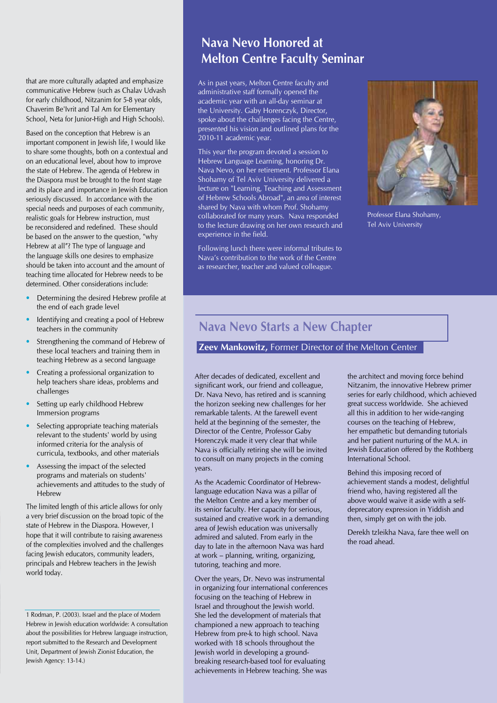that are more culturally adapted and emphasize communicative Hebrew (such as Chalav Udvash for early childhood, Nitzanim for 5-8 year olds, Chaverim Be'Ivrit and Tal Am for Elementary School, Neta for Junior-High and High Schools).

Based on the conception that Hebrew is an important component in Jewish life, I would like to share some thoughts, both on a contextual and on an educational level, about how to improve the state of Hebrew. The agenda of Hebrew in the Diaspora must be brought to the front stage and its place and importance in Jewish Education seriously discussed. In accordance with the special needs and purposes of each community, realistic goals for Hebrew instruction, must be reconsidered and redefined. These should be based on the answer to the question, "why Hebrew at all"? The type of language and the language skills one desires to emphasize should be taken into account and the amount of teaching time allocated for Hebrew needs to be determined. Other considerations include:

- Determining the desired Hebrew profile at the end of each grade level
- Identifying and creating a pool of Hebrew teachers in the community
- Strengthening the command of Hebrew of these local teachers and training them in teaching Hebrew as a second language
- Creating a professional organization to help teachers share ideas, problems and challenges
- Setting up early childhood Hebrew Immersion programs
- Selecting appropriate teaching materials relevant to the students' world by using informed criteria for the analysis of curricula, textbooks, and other materials
- Assessing the impact of the selected programs and materials on students' achievements and attitudes to the study of Hebrew

The limited length of this article allows for only a very brief discussion on the broad topic of the state of Hebrew in the Diaspora. However, I hope that it will contribute to raising awareness of the complexities involved and the challenges facing Jewish educators, community leaders, principals and Hebrew teachers in the Jewish world today.

1 Rodman, P. (2003). Israel and the place of Modern Hebrew in Jewish education worldwide: A consultation about the possibilities for Hebrew language instruction, report submitted to the Research and Development Unit, Department of Jewish Zionist Education, the Jewish Agency: 13-14.)

# **Nava Nevo Honored at Melton Centre Faculty Seminar**

As in past years, Melton Centre faculty and administrative staff formally opened the academic year with an all-day seminar at the University. Gaby Horenczyk, Director, spoke about the challenges facing the Centre, presented his vision and outlined plans for the 2010-11 academic year.

This year the program devoted a session to Hebrew Language Learning, honoring Dr. Nava Nevo, on her retirement. Professor Elana Shohamy of Tel Aviv University delivered a lecture on "Learning, Teaching and Assessment of Hebrew Schools Abroad", an area of interest shared by Nava with whom Prof. Shohamy collaborated for many years. Nava responded to the lecture drawing on her own research and experience in the field.

Following lunch there were informal tributes to Nava's contribution to the work of the Centre as researcher, teacher and valued colleague.



Professor Elana Shohamy, Tel Aviv University

#### **Nava Nevo Starts a New Chapter**

#### **Zeev Mankowitz,** Former Director of the Melton Center

After decades of dedicated, excellent and significant work, our friend and colleague, Dr. Nava Nevo, has retired and is scanning the horizon seeking new challenges for her remarkable talents. At the farewell event held at the beginning of the semester, the Director of the Centre, Professor Gaby Horenczyk made it very clear that while Nava is officially retiring she will be invited to consult on many projects in the coming years.

As the Academic Coordinator of Hebrewlanguage education Nava was a pillar of the Melton Centre and a key member of its senior faculty. Her capacity for serious, sustained and creative work in a demanding area of Jewish education was universally admired and saluted. From early in the day to late in the afternoon Nava was hard at work – planning, writing, organizing, tutoring, teaching and more.

Over the years, Dr. Nevo was instrumental in organizing four international conferences focusing on the teaching of Hebrew in Israel and throughout the Jewish world. She led the development of materials that championed a new approach to teaching Hebrew from pre-k to high school. Nava worked with 18 schools throughout the Jewish world in developing a groundbreaking research-based tool for evaluating achievements in Hebrew teaching. She was

the architect and moving force behind Nitzanim, the innovative Hebrew primer series for early childhood, which achieved great success worldwide. She achieved all this in addition to her wide-ranging courses on the teaching of Hebrew, her empathetic but demanding tutorials and her patient nurturing of the M.A. in Jewish Education offered by the Rothberg International School.

Behind this imposing record of achievement stands a modest, delightful friend who, having registered all the above would waive it aside with a selfdeprecatory expression in Yiddish and then, simply get on with the job.

Derekh tzleikha Nava, fare thee well on the road ahead.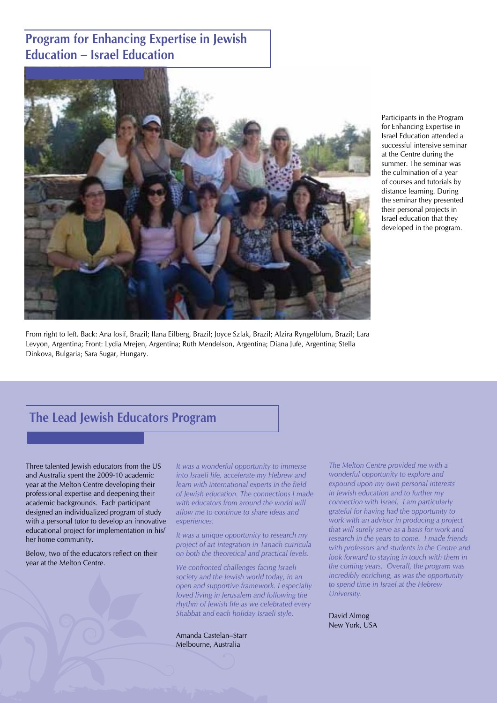# **Program for Enhancing Expertise in Jewish Education – Israel Education**



From right to left. Back: Ana Iosif, Brazil; Ilana Eilberg, Brazil; Joyce Szlak, Brazil; Alzira Ryngelblum, Brazil; Lara Levyon, Argentina; Front: Lydia Mrejen, Argentina; Ruth Mendelson, Argentina; Diana Jufe, Argentina; Stella Dinkova, Bulgaria; Sara Sugar, Hungary.

Participants in the Program for Enhancing Expertise in Israel Education attended a successful intensive seminar at the Centre during the summer. The seminar was the culmination of a year of courses and tutorials by distance learning. During the seminar they presented their personal projects in Israel education that they developed in the program.

#### **The Lead Jewish Educators Program**

Three talented Jewish educators from the US and Australia spent the 2009-10 academic year at the Melton Centre developing their professional expertise and deepening their academic backgrounds. Each participant designed an individualized program of study with a personal tutor to develop an innovative educational project for implementation in his/ her home community.

Below, two of the educators reflect on their year at the Melton Centre.

*It was a wonderful opportunity to immerse into Israeli life, accelerate my Hebrew and learn with international experts in the field of Jewish education. The connections I made with educators from around the world will allow me to continue to share ideas and experiences.* 

*It was a unique opportunity to research my project of art integration in Tanach curricula on both the theoretical and practical levels.* 

*We confronted challenges facing Israeli society and the Jewish world today, in an open and supportive framework. I especially loved living in Jerusalem and following the rhythm of Jewish life as we celebrated every Shabbat and each holiday Israeli style.*

Amanda Castelan–Starr Melbourne, Australia

*The Melton Centre provided me with a wonderful opportunity to explore and expound upon my own personal interests in Jewish education and to further my connection with Israel. I am particularly grateful for having had the opportunity to work with an advisor in producing a project that will surely serve as a basis for work and research in the years to come. I made friends with professors and students in the Centre and look forward to staying in touch with them in the coming years. Overall, the program was incredibly enriching, as was the opportunity to spend time in Israel at the Hebrew University.* 

David Almog New York, USA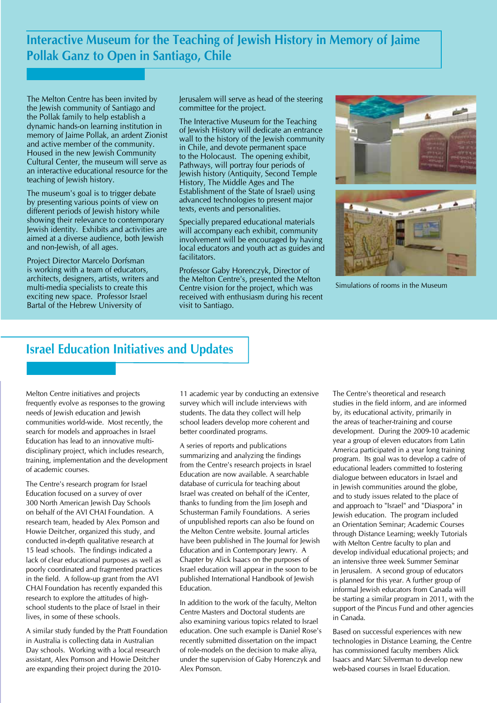**Interactive Museum for the Teaching of Jewish History in Memory of Jaime Pollak Ganz to Open in Santiago, Chile**

The Melton Centre has been invited by the Jewish community of Santiago and the Pollak family to help establish a dynamic hands-on learning institution in memory of Jaime Pollak, an ardent Zionist and active member of the community. Housed in the new Jewish Community Cultural Center, the museum will serve as an interactive educational resource for the teaching of Jewish history.

The museum's goal is to trigger debate by presenting various points of view on different periods of Jewish history while showing their relevance to contemporary Jewish identity. Exhibits and activities are aimed at a diverse audience, both Jewish and non-Jewish, of all ages.

Project Director Marcelo Dorfsman is working with a team of educators, architects, designers, artists, writers and multi-media specialists to create this exciting new space. Professor Israel Bartal of the Hebrew University of

Jerusalem will serve as head of the steering committee for the project.

The Interactive Museum for the Teaching of Jewish History will dedicate an entrance wall to the history of the Jewish community in Chile, and devote permanent space to the Holocaust. The opening exhibit, Pathways, will portray four periods of Jewish history (Antiquity, Second Temple History, The Middle Ages and The Establishment of the State of Israel) using advanced technologies to present major texts, events and personalities.

Specially prepared educational materials will accompany each exhibit, community involvement will be encouraged by having local educators and youth act as guides and facilitators.

Professor Gaby Horenczyk, Director of the Melton Centre's, presented the Melton Centre vision for the project, which was received with enthusiasm during his recent visit to Santiago.





Simulations of rooms in the Museum

#### **Israel Education Initiatives and Updates**

Melton Centre initiatives and projects frequently evolve as responses to the growing needs of Jewish education and Jewish communities world-wide. Most recently, the search for models and approaches in Israel Education has lead to an innovative multidisciplinary project, which includes research, training, implementation and the development of academic courses.

The Centre's research program for Israel Education focused on a survey of over 300 North American Jewish Day Schools on behalf of the AVI CHAI Foundation. A research team, headed by Alex Pomson and Howie Deitcher, organized this study, and conducted in-depth qualitative research at 15 lead schools. The findings indicated a lack of clear educational purposes as well as poorly coordinated and fragmented practices in the field. A follow-up grant from the AVI CHAI Foundation has recently expanded this research to explore the attitudes of highschool students to the place of Israel in their lives, in some of these schools.

A similar study funded by the Pratt Foundation in Australia is collecting data in Australian Day schools. Working with a local research assistant, Alex Pomson and Howie Deitcher are expanding their project during the 201011 academic year by conducting an extensive survey which will include interviews with students. The data they collect will help school leaders develop more coherent and better coordinated programs.

A series of reports and publications summarizing and analyzing the findings from the Centre's research projects in Israel Education are now available. A searchable database of curricula for teaching about Israel was created on behalf of the iCenter, thanks to funding from the Jim Joseph and Schusterman Family Foundations. A series of unpublished reports can also be found on the Melton Centre website. Journal articles have been published in The Journal for Jewish Education and in Contemporary Jewry. A Chapter by Alick Isaacs on the purposes of Israel education will appear in the soon to be published International Handbook of Jewish Education.

In addition to the work of the faculty, Melton Centre Masters and Doctoral students are also examining various topics related to Israel education. One such example is Daniel Rose's recently submitted dissertation on the impact of role-models on the decision to make aliya, under the supervision of Gaby Horenczyk and Alex Pomson.

The Centre's theoretical and research studies in the field inform, and are informed by, its educational activity, primarily in the areas of teacher-training and course development. During the 2009-10 academic year a group of eleven educators from Latin America participated in a year long training program. Its goal was to develop a cadre of educational leaders committed to fostering dialogue between educators in Israel and in Jewish communities around the globe, and to study issues related to the place of and approach to "Israel" and "Diaspora" in Jewish education. The program included an Orientation Seminar; Academic Courses through Distance Learning; weekly Tutorials with Melton Centre faculty to plan and develop individual educational projects; and an intensive three week Summer Seminar in Jerusalem. A second group of educators is planned for this year. A further group of informal Jewish educators from Canada will be starting a similar program in 2011, with the support of the Pincus Fund and other agencies in Canada.

Based on successful experiences with new technologies in Distance Learning, the Centre has commissioned faculty members Alick Isaacs and Marc Silverman to develop new web-based courses in Israel Education.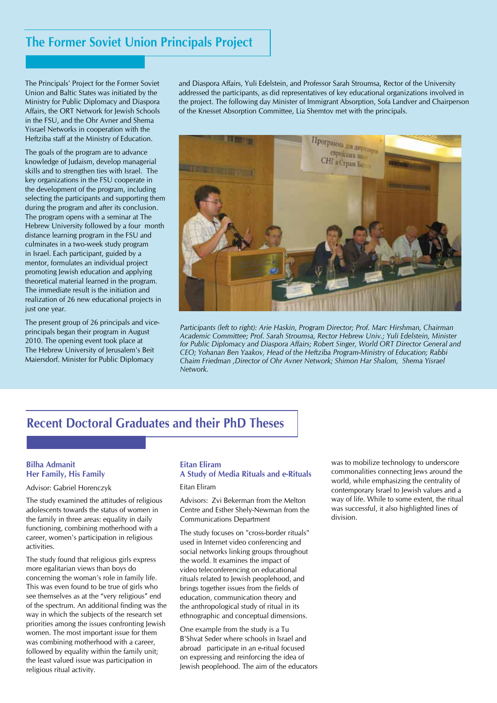#### **The Former Soviet Union Principals Project**

The Principals' Project for the Former Soviet Union and Baltic States was initiated by the Ministry for Public Diplomacy and Diaspora Affairs, the ORT Network for Jewish Schools in the FSU, and the Ohr Avner and Shema Yisrael Networks in cooperation with the Heftziba staff at the Ministry of Education.

The goals of the program are to advance knowledge of Judaism, develop managerial skills and to strengthen ties with Israel. The key organizations in the FSU cooperate in the development of the program, including selecting the participants and supporting them during the program and after its conclusion. The program opens with a seminar at The Hebrew University followed by a four month distance learning program in the FSU and culminates in a two-week study program in Israel. Each participant, guided by a mentor, formulates an individual project promoting Jewish education and applying theoretical material learned in the program. The immediate result is the initiation and realization of 26 new educational projects in just one year.

The present group of 26 principals and viceprincipals began their program in August 2010. The opening event took place at The Hebrew University of Jerusalem's Beit Maiersdorf. Minister for Public Diplomacy

and Diaspora Affairs, Yuli Edelstein, and Professor Sarah Stroumsa, Rector of the University addressed the participants, as did representatives of key educational organizations involved in the project. The following day Minister of Immigrant Absorption, Sofa Landver and Chairperson of the Knesset Absorption Committee, Lia Shemtov met with the principals.



*Participants (left to right): Arie Haskin, Program Director; Prof. Marc Hirshman, Chairman Academic Committee; Prof. Sarah Stroumsa, Rector Hebrew Univ.; Yuli Edelstein, Minister for Public Diplomacy and Diaspora Affairs; Robert Singer, World ORT Director General and CEO; Yohanan Ben Yaakov, Head of the Heftziba Program-Ministry of Education; Rabbi Chaim Friedman ,Director of Ohr Avner Network; Shimon Har Shalom, Shema Yisrael Network.*

## **Recent Doctoral Graduates and their PhD Theses**

#### **Bilha Admanit Her Family, His Family**

Advisor: Gabriel Horenczyk

The study examined the attitudes of religious adolescents towards the status of women in the family in three areas: equality in daily functioning, combining motherhood with a career, women's participation in religious activities.

The study found that religious girls express more egalitarian views than boys do concerning the woman's role in family life. This was even found to be true of girls who see themselves as at the "very religious" end of the spectrum. An additional finding was the way in which the subjects of the research set priorities among the issues confronting Jewish women. The most important issue for them was combining motherhood with a career, followed by equality within the family unit; the least valued issue was participation in religious ritual activity.

#### **Eitan Eliram**

#### **A Study of Media Rituals and e-Rituals**

Eitan Eliram

Advisors: Zvi Bekerman from the Melton Centre and Esther Shely-Newman from the Communications Department

The study focuses on "cross-border rituals" used in Internet video conferencing and social networks linking groups throughout the world. It examines the impact of video teleconferencing on educational rituals related to Jewish peoplehood, and brings together issues from the fields of education, communication theory and the anthropological study of ritual in its ethnographic and conceptual dimensions.

One example from the study is a Tu B'Shvat Seder where schools in Israel and abroad participate in an e-ritual focused on expressing and reinforcing the idea of Jewish peoplehood. The aim of the educators was to mobilize technology to underscore commonalities connecting Jews around the world, while emphasizing the centrality of contemporary Israel to Jewish values and a way of life. While to some extent, the ritual was successful, it also highlighted lines of division.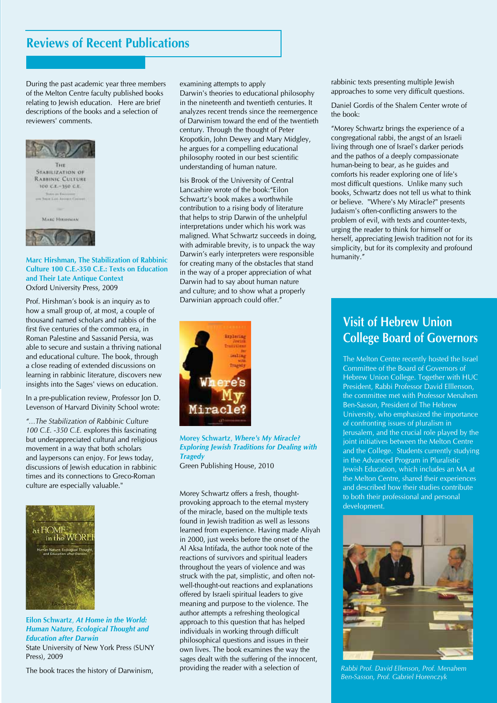## **Reviews of Recent Publications**

During the past academic year three members of the Melton Centre faculty published books relating to Jewish education. Here are brief descriptions of the books and a selection of reviewers' comments.



#### **Marc Hirshman, The Stabilization of Rabbinic Culture 100 C.E.-350 C.E.: Texts on Education and Their Late Antique Context** Oxford University Press, 2009

Prof. Hirshman's book is an inquiry as to how a small group of, at most, a couple of thousand named scholars and rabbis of the first five centuries of the common era, in Roman Palestine and Sassanid Persia, was able to secure and sustain a thriving national and educational culture. The book, through a close reading of extended discussions on learning in rabbinic literature, discovers new insights into the Sages' views on education.

In a pre-publication review, Professor Jon D. Levenson of Harvard Divinity School wrote:

*"…The Stabilization of Rabbinic Culture 100 C.E. -350 C.E.* explores this fascinating but underappreciated cultural and religious movement in a way that both scholars and laypersons can enjoy. For Jews today, discussions of Jewish education in rabbinic times and its connections to Greco-Roman culture are especially valuable."



**Eilon Schwartz**, *At Home in the World: Human Nature, Ecological Thought and Education after Darwin* State University of New York Press (SUNY Press), 2009

The book traces the history of Darwinism,

examining attempts to apply

Darwin's theories to educational philosophy in the nineteenth and twentieth centuries. It analyzes recent trends since the reemergence of Darwinism toward the end of the twentieth century. Through the thought of Peter Kropotkin, John Dewey and Mary Midgley, he argues for a compelling educational philosophy rooted in our best scientific understanding of human nature.

Isis Brook of the University of Central Lancashire wrote of the book:"Eilon Schwartz's book makes a worthwhile contribution to a rising body of literature that helps to strip Darwin of the unhelpful interpretations under which his work was maligned. What Schwartz succeeds in doing, with admirable brevity, is to unpack the way Darwin's early interpreters were responsible for creating many of the obstacles that stand in the way of a proper appreciation of what Darwin had to say about human nature and culture; and to show what a properly Darwinian approach could offer."



**Morey Schwartz**, *Where's My Miracle? Exploring Jewish Traditions for Dealing with Tragedy* Green Publishing House, 2010

Morey Schwartz offers a fresh, thoughtprovoking approach to the eternal mystery of the miracle, based on the multiple texts found in Jewish tradition as well as lessons learned from experience. Having made Aliyah in 2000, just weeks before the onset of the Al Aksa Intifada, the author took note of the reactions of survivors and spiritual leaders throughout the years of violence and was struck with the pat, simplistic, and often notwell-thought-out reactions and explanations offered by Israeli spiritual leaders to give meaning and purpose to the violence. The author attempts a refreshing theological approach to this question that has helped individuals in working through difficult philosophical questions and issues in their own lives. The book examines the way the sages dealt with the suffering of the innocent, providing the reader with a selection of

rabbinic texts presenting multiple Jewish approaches to some very difficult questions.

Daniel Gordis of the Shalem Center wrote of the book:

"Morey Schwartz brings the experience of a congregational rabbi, the angst of an Israeli living through one of Israel's darker periods and the pathos of a deeply compassionate human-being to bear, as he guides and comforts his reader exploring one of life's most difficult questions. Unlike many such books, Schwartz does not tell us what to think or believe. "Where's My Miracle?" presents Judaism's often-conflicting answers to the problem of evil, with texts and counter-texts, urging the reader to think for himself or herself, appreciating Jewish tradition not for its simplicity, but for its complexity and profound humanity."

# **Visit of Hebrew Union College Board of Governors**

The Melton Centre recently hosted the Israel Committee of the Board of Governors of Hebrew Union College. Together with HUC President, Rabbi Professor David Elllenson, the committee met with Professor Menahem Ben-Sasson, President of The Hebrew University, who emphasized the importance of confronting issues of pluralism in Jerusalem, and the crucial role played by the joint initiatives between the Melton Centre and the College. Students currently studying in the Advanced Program in Pluralistic Jewish Education, which includes an MA at the Melton Centre, shared their experiences and described how their studies contribute to both their professional and personal development.



*Rabbi Prof. David Ellenson, Prof. Menahem Ben-Sasson, Prof. Gabriel Horenczyk*